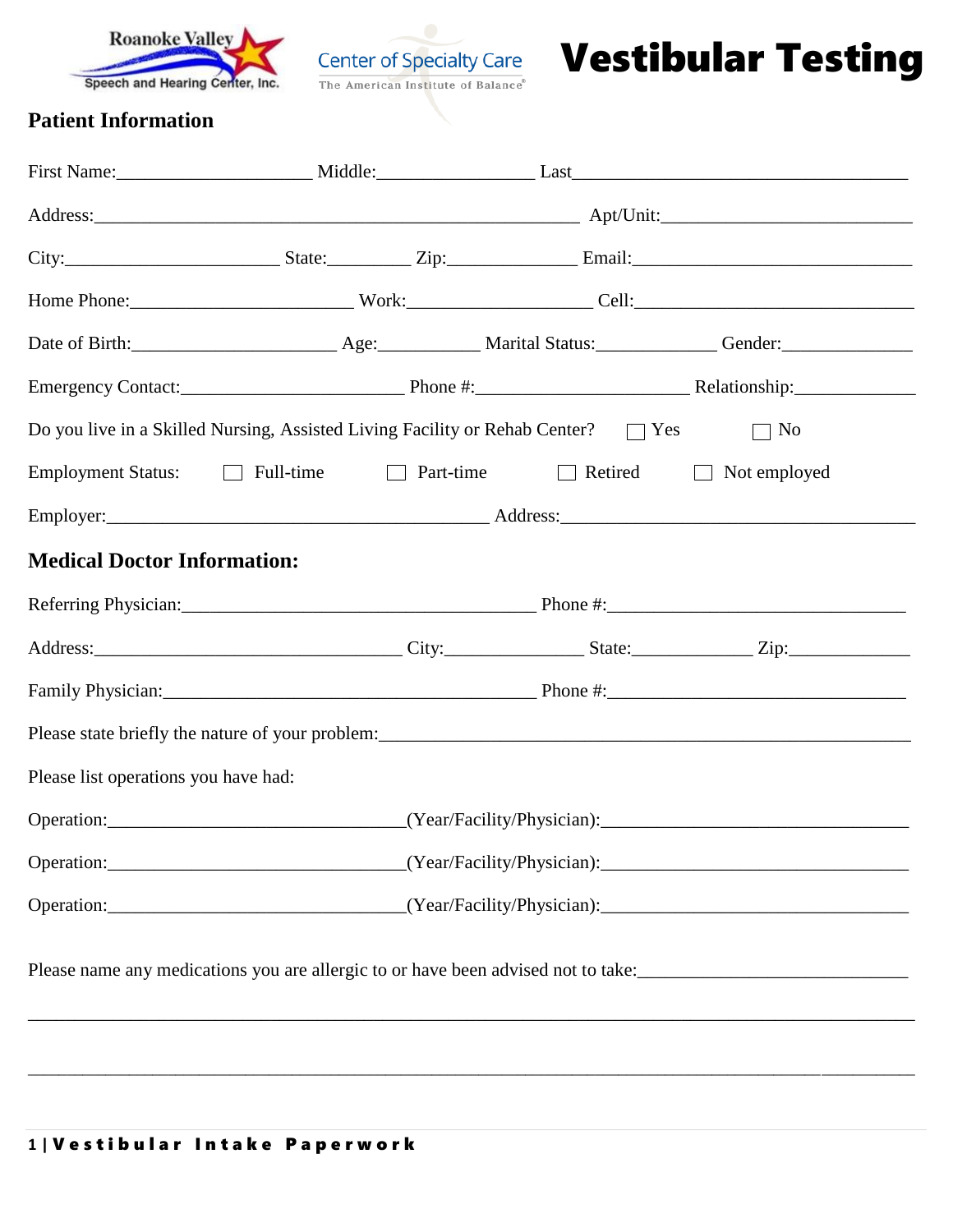



Vestibular Testing

## **Patient Information**

|                                                                                   |  |  |                                                                                           | Date of Birth: <u>________________________</u> Age: ____________ Marital Status: _____________ Gender: _______________ |  |
|-----------------------------------------------------------------------------------|--|--|-------------------------------------------------------------------------------------------|------------------------------------------------------------------------------------------------------------------------|--|
|                                                                                   |  |  |                                                                                           |                                                                                                                        |  |
|                                                                                   |  |  | Do you live in a Skilled Nursing, Assisted Living Facility or Rehab Center? $\square$ Yes | $\Box$ No                                                                                                              |  |
| Employment Status: Eull-time                                                      |  |  | Part-time ■ Retired ■ Not employed                                                        |                                                                                                                        |  |
|                                                                                   |  |  |                                                                                           |                                                                                                                        |  |
| <b>Medical Doctor Information:</b>                                                |  |  |                                                                                           |                                                                                                                        |  |
|                                                                                   |  |  |                                                                                           |                                                                                                                        |  |
|                                                                                   |  |  |                                                                                           |                                                                                                                        |  |
|                                                                                   |  |  |                                                                                           |                                                                                                                        |  |
|                                                                                   |  |  |                                                                                           |                                                                                                                        |  |
| Please list operations you have had:                                              |  |  |                                                                                           |                                                                                                                        |  |
|                                                                                   |  |  |                                                                                           |                                                                                                                        |  |
|                                                                                   |  |  |                                                                                           |                                                                                                                        |  |
|                                                                                   |  |  |                                                                                           |                                                                                                                        |  |
| Please name any medications you are allergic to or have been advised not to take: |  |  |                                                                                           |                                                                                                                        |  |
|                                                                                   |  |  |                                                                                           |                                                                                                                        |  |
|                                                                                   |  |  |                                                                                           |                                                                                                                        |  |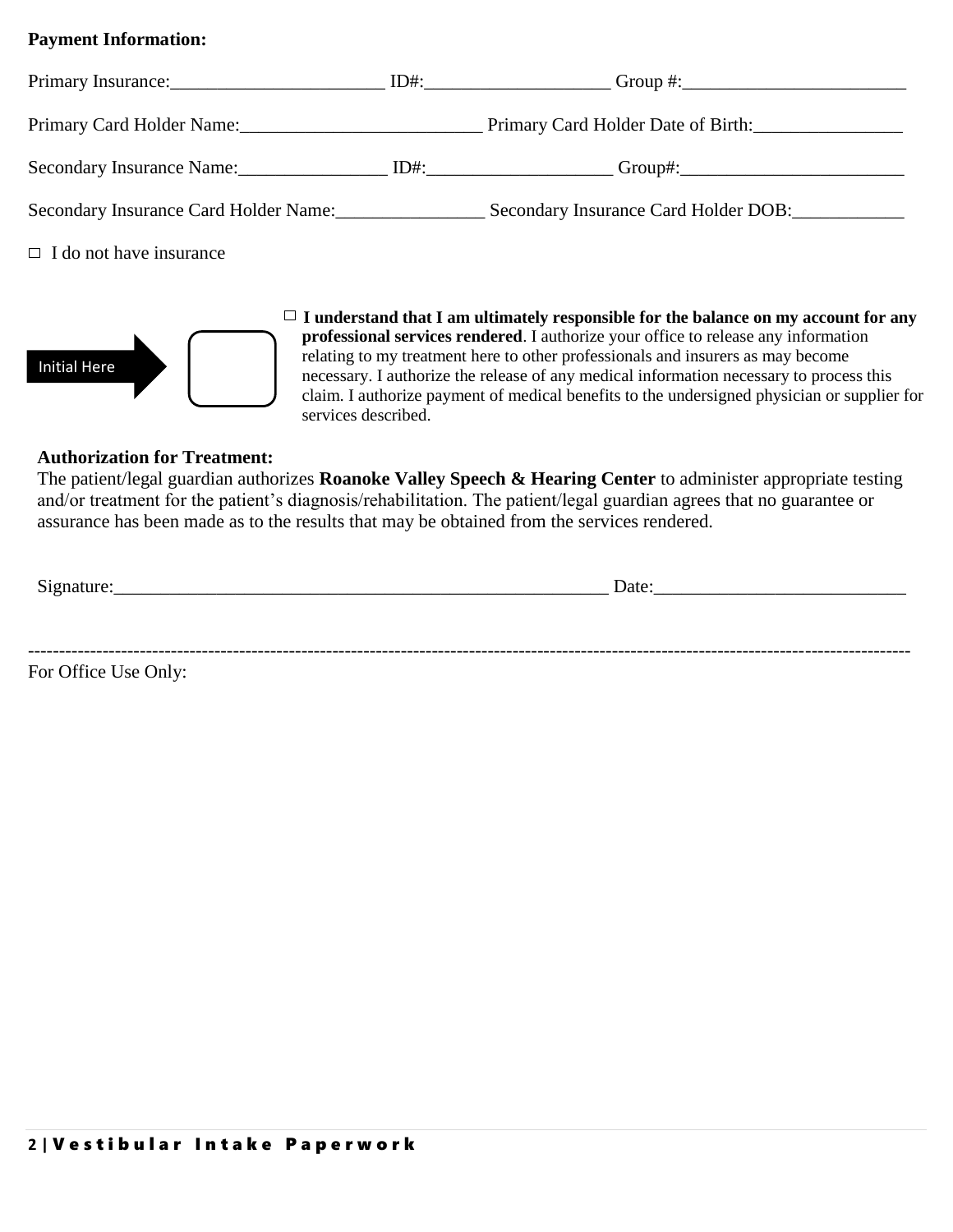### **Payment Information:**

|                                | Primary Card Holder Name: Primary Card Holder Date of Birth:               |
|--------------------------------|----------------------------------------------------------------------------|
|                                | Secondary Insurance Name: ID#: ID#: ID#: Group#: Group#:                   |
|                                | Secondary Insurance Card Holder Name: Secondary Insurance Card Holder DOB: |
| $\Box$ I do not have insurance |                                                                            |



 $\Box$  **I** understand that **I** am ultimately responsible for the balance on my account for any **professional services rendered**. I authorize your office to release any information relating to my treatment here to other professionals and insurers as may become necessary. I authorize the release of any medical information necessary to process this claim. I authorize payment of medical benefits to the undersigned physician or supplier for services described.

#### **Authorization for Treatment:**

 The patient/legal guardian authorizes **Roanoke Valley Speech & Hearing Center** to administer appropriate testing and/or treatment for the patient's diagnosis/rehabilitation. The patient/legal guardian agrees that no guarantee or assurance has been made as to the results that may be obtained from the services rendered.

| Signature: | Date: |
|------------|-------|
|            |       |
|            |       |
|            |       |

For Office Use Only: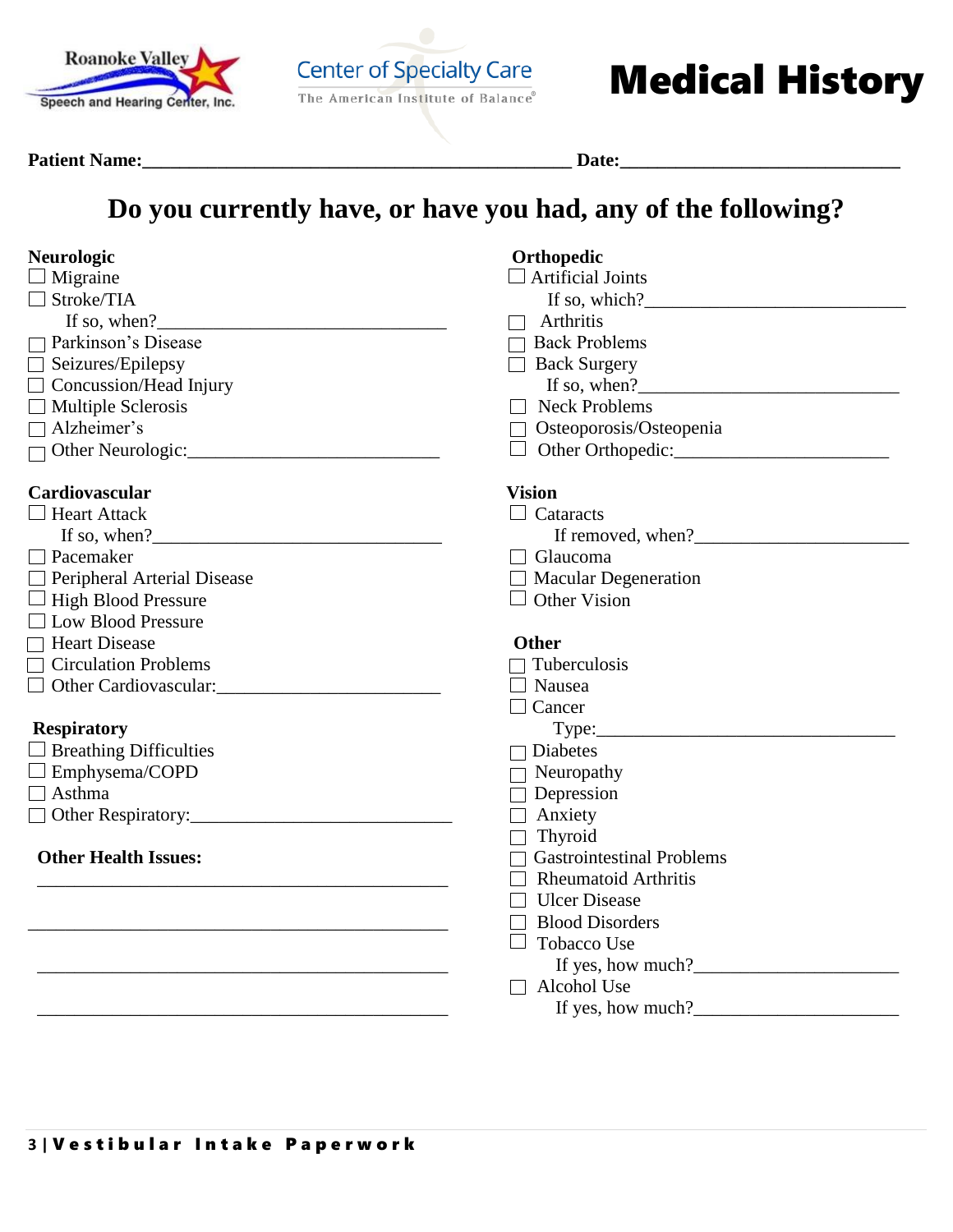

Center of Specialty Care **Medical History** 

#### **Patient Name:\_\_\_\_\_\_\_\_\_\_\_\_\_\_\_\_\_\_\_\_\_\_\_\_\_\_\_\_\_\_\_\_\_\_\_\_\_\_\_\_\_\_\_\_\_\_ Date:\_\_\_\_\_\_\_\_\_\_\_\_\_\_\_\_\_\_\_\_\_\_\_\_\_\_\_\_\_\_**

## **Do you currently have, or have you had, any of the following?**

| <b>Neurologic</b><br>Migraine                                                                                                                                                                                                       | Orthopedic<br>$\Box$ Artificial Joints                                                                                                                                                                                                                                                                                                                                                                             |
|-------------------------------------------------------------------------------------------------------------------------------------------------------------------------------------------------------------------------------------|--------------------------------------------------------------------------------------------------------------------------------------------------------------------------------------------------------------------------------------------------------------------------------------------------------------------------------------------------------------------------------------------------------------------|
| Stroke/TIA                                                                                                                                                                                                                          | If so, which? $\qquad \qquad$                                                                                                                                                                                                                                                                                                                                                                                      |
|                                                                                                                                                                                                                                     | Arthritis<br>$\Box$                                                                                                                                                                                                                                                                                                                                                                                                |
| Parkinson's Disease                                                                                                                                                                                                                 | $\Box$ Back Problems                                                                                                                                                                                                                                                                                                                                                                                               |
| $\Box$ Seizures/Epilepsy                                                                                                                                                                                                            | $\Box$ Back Surgery                                                                                                                                                                                                                                                                                                                                                                                                |
| $\Box$ Concussion/Head Injury                                                                                                                                                                                                       | If so, when?                                                                                                                                                                                                                                                                                                                                                                                                       |
| $\Box$ Multiple Sclerosis                                                                                                                                                                                                           | $\Box$ Neck Problems                                                                                                                                                                                                                                                                                                                                                                                               |
| Alzheimer's                                                                                                                                                                                                                         | □ Osteoporosis/Osteopenia                                                                                                                                                                                                                                                                                                                                                                                          |
|                                                                                                                                                                                                                                     |                                                                                                                                                                                                                                                                                                                                                                                                                    |
| Cardiovascular                                                                                                                                                                                                                      | <b>Vision</b>                                                                                                                                                                                                                                                                                                                                                                                                      |
| <b>Heart Attack</b>                                                                                                                                                                                                                 | $\Box$ Cataracts                                                                                                                                                                                                                                                                                                                                                                                                   |
| If so, when?<br>$\frac{1}{2}$ is the set of the set of the set of the set of the set of the set of the set of the set of the set of the set of the set of the set of the set of the set of the set of the set of the set of the set | If removed, when?                                                                                                                                                                                                                                                                                                                                                                                                  |
| Pacemaker                                                                                                                                                                                                                           | $\Box$ Glaucoma                                                                                                                                                                                                                                                                                                                                                                                                    |
| Peripheral Arterial Disease                                                                                                                                                                                                         | $\Box$ Macular Degeneration                                                                                                                                                                                                                                                                                                                                                                                        |
| $\Box$ High Blood Pressure                                                                                                                                                                                                          | $\Box$ Other Vision                                                                                                                                                                                                                                                                                                                                                                                                |
| Low Blood Pressure                                                                                                                                                                                                                  |                                                                                                                                                                                                                                                                                                                                                                                                                    |
| □ Heart Disease                                                                                                                                                                                                                     | <b>Other</b>                                                                                                                                                                                                                                                                                                                                                                                                       |
| $\Box$ Circulation Problems                                                                                                                                                                                                         | $\Box$ Tuberculosis                                                                                                                                                                                                                                                                                                                                                                                                |
| Other Cardiovascular:                                                                                                                                                                                                               | $\Box$ Nausea                                                                                                                                                                                                                                                                                                                                                                                                      |
|                                                                                                                                                                                                                                     | $\Box$ Cancer                                                                                                                                                                                                                                                                                                                                                                                                      |
| <b>Respiratory</b>                                                                                                                                                                                                                  |                                                                                                                                                                                                                                                                                                                                                                                                                    |
| $\Box$ Breathing Difficulties                                                                                                                                                                                                       | $\Box$ Diabetes                                                                                                                                                                                                                                                                                                                                                                                                    |
| $\Box$ Emphysema/COPD                                                                                                                                                                                                               | $\Box$ Neuropathy                                                                                                                                                                                                                                                                                                                                                                                                  |
| Asthma                                                                                                                                                                                                                              | $\Box$ Depression                                                                                                                                                                                                                                                                                                                                                                                                  |
|                                                                                                                                                                                                                                     | $\Box$ Anxiety                                                                                                                                                                                                                                                                                                                                                                                                     |
|                                                                                                                                                                                                                                     | $\Box$ Thyroid                                                                                                                                                                                                                                                                                                                                                                                                     |
| <b>Other Health Issues:</b>                                                                                                                                                                                                         | $\Box$ Gastrointestinal Problems                                                                                                                                                                                                                                                                                                                                                                                   |
|                                                                                                                                                                                                                                     | $\Box$ Rheumatoid Arthritis                                                                                                                                                                                                                                                                                                                                                                                        |
|                                                                                                                                                                                                                                     | $\Box$ Ulcer Disease                                                                                                                                                                                                                                                                                                                                                                                               |
|                                                                                                                                                                                                                                     | <b>Blood Disorders</b>                                                                                                                                                                                                                                                                                                                                                                                             |
|                                                                                                                                                                                                                                     | Tobacco Use                                                                                                                                                                                                                                                                                                                                                                                                        |
|                                                                                                                                                                                                                                     | If yes, how much? $\frac{1}{\sqrt{1-\frac{1}{2}}}\frac{1}{\sqrt{1-\frac{1}{2}}}\frac{1}{\sqrt{1-\frac{1}{2}}}\frac{1}{\sqrt{1-\frac{1}{2}}}\frac{1}{\sqrt{1-\frac{1}{2}}}\frac{1}{\sqrt{1-\frac{1}{2}}}\frac{1}{\sqrt{1-\frac{1}{2}}}\frac{1}{\sqrt{1-\frac{1}{2}}}\frac{1}{\sqrt{1-\frac{1}{2}}}\frac{1}{\sqrt{1-\frac{1}{2}}}\frac{1}{\sqrt{1-\frac{1}{2}}}\frac{1}{\sqrt{1-\frac{1}{2}}}\frac{1}{\sqrt{1-\frac$ |
|                                                                                                                                                                                                                                     | Alcohol Use                                                                                                                                                                                                                                                                                                                                                                                                        |
|                                                                                                                                                                                                                                     | If yes, how much? $\frac{2}{\sqrt{2}}$                                                                                                                                                                                                                                                                                                                                                                             |
|                                                                                                                                                                                                                                     |                                                                                                                                                                                                                                                                                                                                                                                                                    |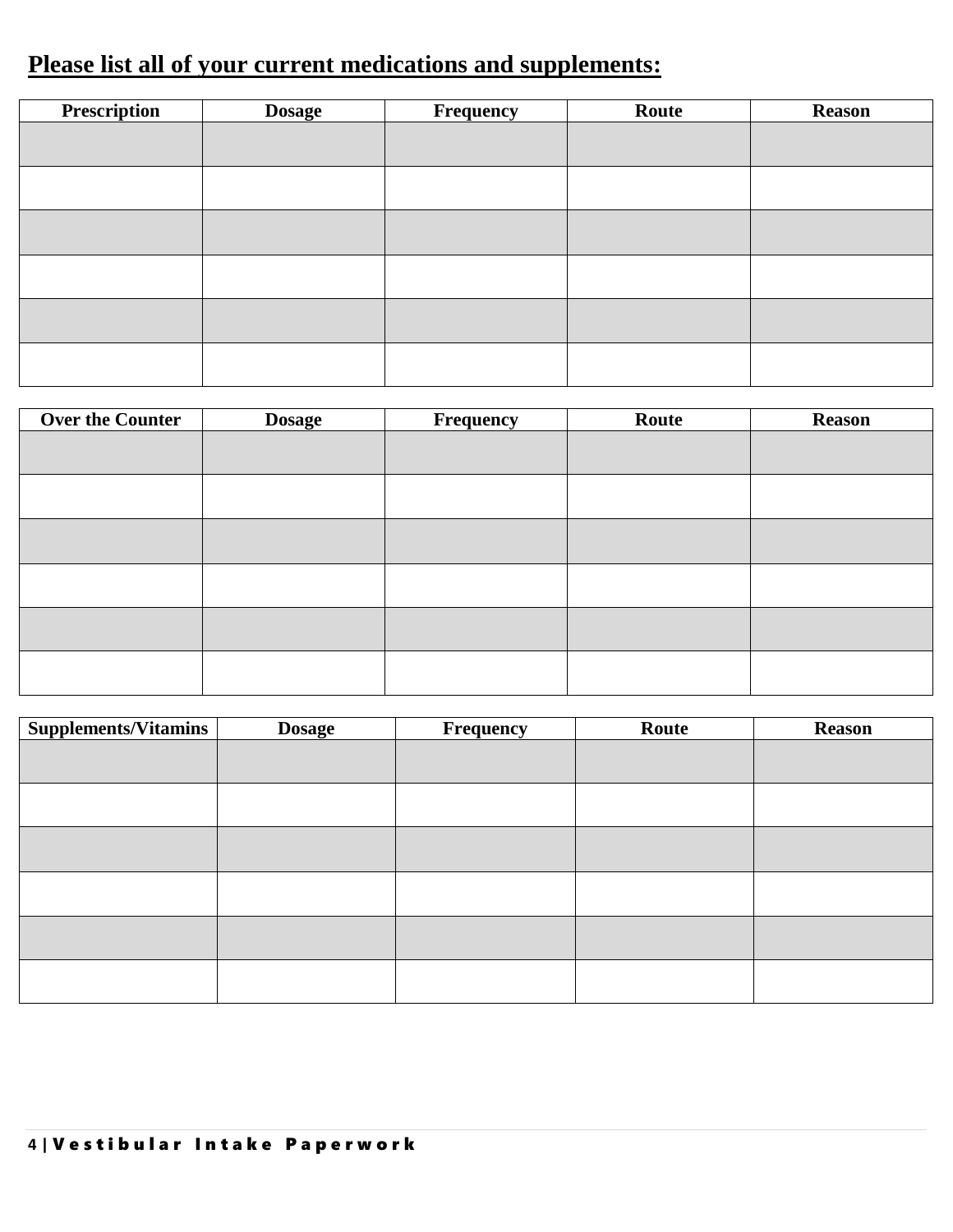## **Please list all of your current medications and supplements:**

| Prescription | <b>Dosage</b> | Frequency | Route | <b>Reason</b> |
|--------------|---------------|-----------|-------|---------------|
|              |               |           |       |               |
|              |               |           |       |               |
|              |               |           |       |               |
|              |               |           |       |               |
|              |               |           |       |               |
|              |               |           |       |               |
|              |               |           |       |               |
|              |               |           |       |               |
|              |               |           |       |               |
|              |               |           |       |               |
|              |               |           |       |               |
|              |               |           |       |               |

| <b>Over the Counter</b> | <b>Dosage</b> | <b>Frequency</b> | Route | <b>Reason</b> |
|-------------------------|---------------|------------------|-------|---------------|
|                         |               |                  |       |               |
|                         |               |                  |       |               |
|                         |               |                  |       |               |
|                         |               |                  |       |               |
|                         |               |                  |       |               |
|                         |               |                  |       |               |
|                         |               |                  |       |               |
|                         |               |                  |       |               |
|                         |               |                  |       |               |
|                         |               |                  |       |               |
|                         |               |                  |       |               |
|                         |               |                  |       |               |

| <b>Supplements/Vitamins</b> | <b>Dosage</b> | Frequency | Route | <b>Reason</b> |
|-----------------------------|---------------|-----------|-------|---------------|
|                             |               |           |       |               |
|                             |               |           |       |               |
|                             |               |           |       |               |
|                             |               |           |       |               |
|                             |               |           |       |               |
|                             |               |           |       |               |
|                             |               |           |       |               |
|                             |               |           |       |               |
|                             |               |           |       |               |
|                             |               |           |       |               |
|                             |               |           |       |               |
|                             |               |           |       |               |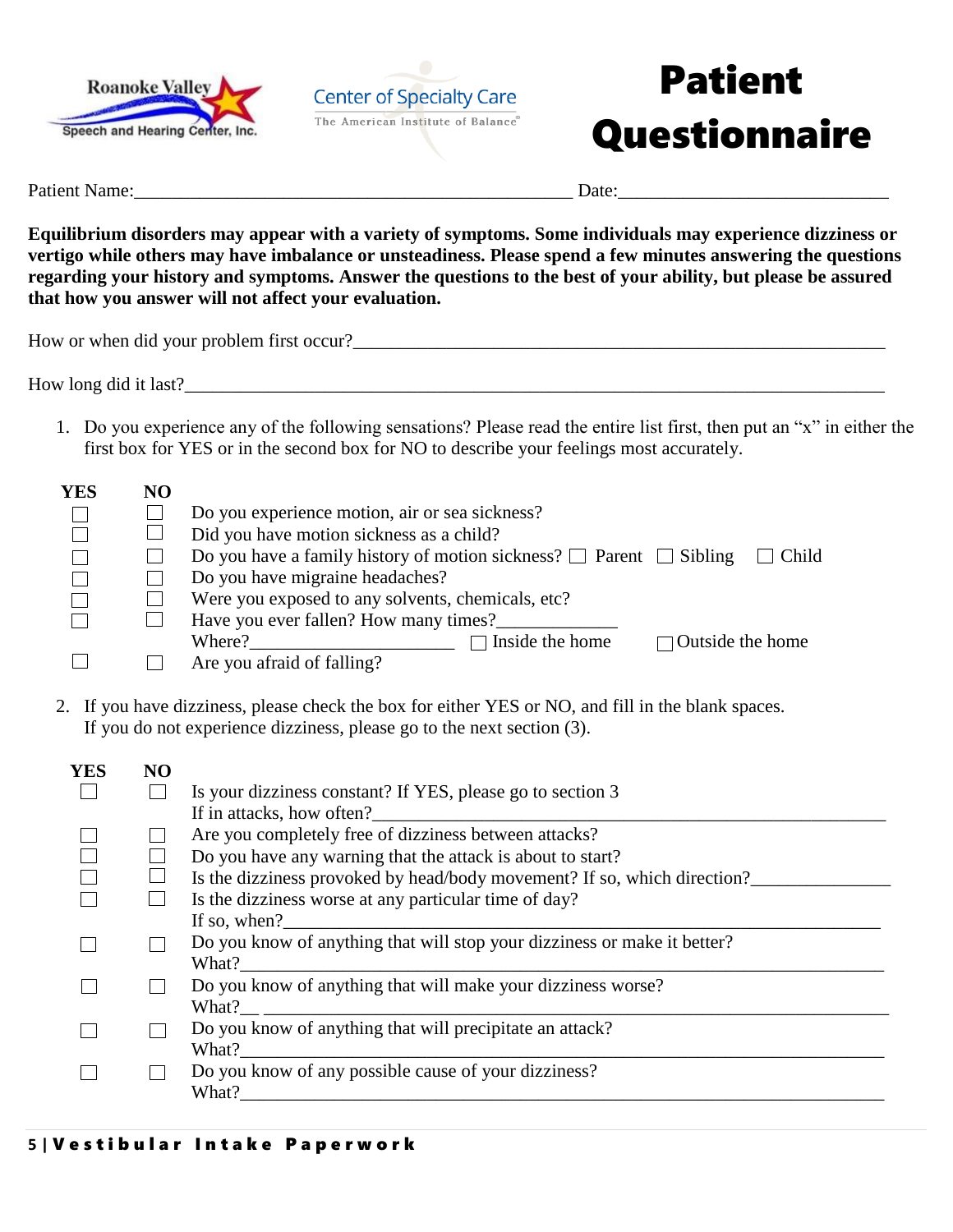



# Patient **Questionnaire**

Patient Name:\_\_\_\_\_\_\_\_\_\_\_\_\_\_\_\_\_\_\_\_\_\_\_\_\_\_\_\_\_\_\_\_\_\_\_\_\_\_\_\_\_\_\_\_\_\_\_ Date:\_\_\_\_\_\_\_\_\_\_\_\_\_\_\_\_\_\_\_\_\_\_\_\_\_\_\_\_\_

**Equilibrium disorders may appear with a variety of symptoms. Some individuals may experience dizziness or vertigo while others may have imbalance or unsteadiness. Please spend a few minutes answering the questions regarding your history and symptoms. Answer the questions to the best of your ability, but please be assured that how you answer will not affect your evaluation.** 

How or when did your problem first occur?\_\_\_\_\_\_\_\_\_\_\_\_\_\_\_\_\_\_\_\_\_\_\_\_\_\_\_\_\_\_\_\_\_\_\_\_\_\_\_\_\_\_\_\_\_\_\_\_\_\_\_\_\_\_\_\_\_

How long did it last?

1. Do you experience any of the following sensations? Please read the entire list first, then put an "x" in either the first box for YES or in the second box for NO to describe your feelings most accurately.

| <b>YES</b> | NO |                                                                                        |
|------------|----|----------------------------------------------------------------------------------------|
|            |    | Do you experience motion, air or sea sickness?                                         |
|            |    | Did you have motion sickness as a child?                                               |
|            |    | Do you have a family history of motion sickness? $\Box$ Parent $\Box$ Sibling<br>Child |
|            |    | Do you have migraine headaches?                                                        |
|            |    | Were you exposed to any solvents, chemicals, etc?                                      |
|            |    | Have you ever fallen? How many times?                                                  |
|            |    | Inside the home<br>$\Box$ Outside the home<br>Where?                                   |
|            |    | Are you afraid of falling?                                                             |

2. If you have dizziness, please check the box for either YES or NO, and fill in the blank spaces. If you do not experience dizziness, please go to the next section (3).

| YES | N <sub>O</sub> |                                                                          |
|-----|----------------|--------------------------------------------------------------------------|
|     |                | Is your dizziness constant? If YES, please go to section 3               |
|     |                | If in attacks, how often?                                                |
|     |                | Are you completely free of dizziness between attacks?                    |
|     |                | Do you have any warning that the attack is about to start?               |
|     |                | Is the dizziness provoked by head/body movement? If so, which direction? |
|     |                | Is the dizziness worse at any particular time of day?                    |
|     |                | If so, when?                                                             |
|     |                | Do you know of anything that will stop your dizziness or make it better? |
|     |                | What?                                                                    |
|     |                | Do you know of anything that will make your dizziness worse?             |
|     |                | What?                                                                    |
|     |                | Do you know of anything that will precipitate an attack?                 |
|     |                | What?                                                                    |
|     |                | Do you know of any possible cause of your dizziness?                     |
|     |                | What?                                                                    |
|     |                |                                                                          |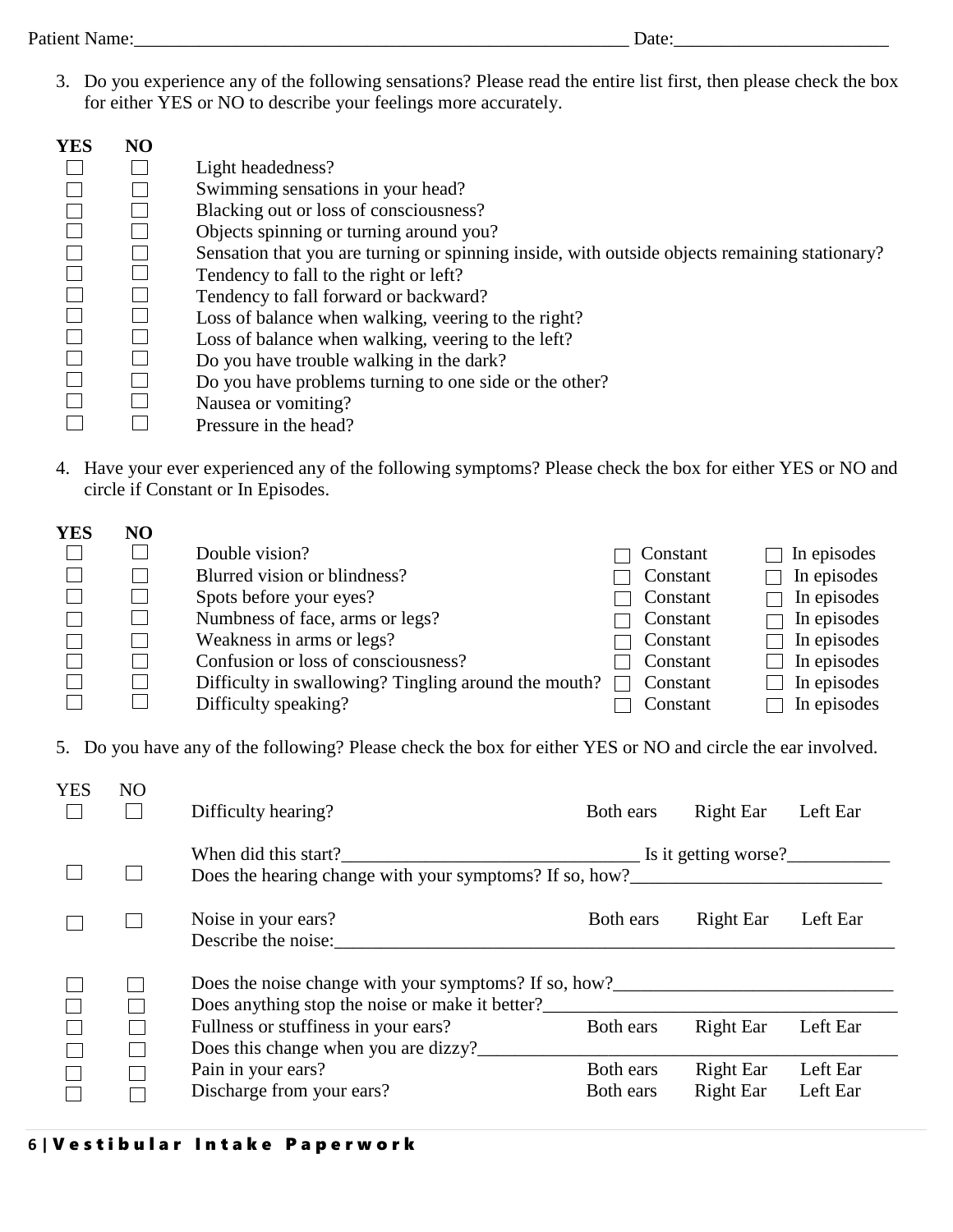3. Do you experience any of the following sensations? Please read the entire list first, then please check the box for either YES or NO to describe your feelings more accurately.

| <b>YES</b> | NO |                                                                                               |
|------------|----|-----------------------------------------------------------------------------------------------|
|            |    | Light headedness?                                                                             |
|            |    | Swimming sensations in your head?                                                             |
|            |    | Blacking out or loss of consciousness?                                                        |
|            |    | Objects spinning or turning around you?                                                       |
|            |    | Sensation that you are turning or spinning inside, with outside objects remaining stationary? |
|            |    | Tendency to fall to the right or left?                                                        |
|            |    | Tendency to fall forward or backward?                                                         |
|            |    | Loss of balance when walking, veering to the right?                                           |
|            |    | Loss of balance when walking, veering to the left?                                            |
|            |    | Do you have trouble walking in the dark?                                                      |
|            |    | Do you have problems turning to one side or the other?                                        |
|            |    | Nausea or vomiting?                                                                           |
|            |    | Pressure in the head?                                                                         |

4. Have your ever experienced any of the following symptoms? Please check the box for either YES or NO and circle if Constant or In Episodes.

| <b>YES</b> | NO |                                                      |          |             |
|------------|----|------------------------------------------------------|----------|-------------|
|            |    | Double vision?                                       | Constant | In episodes |
|            |    | Blurred vision or blindness?                         | Constant | In episodes |
|            |    | Spots before your eyes?                              | Constant | In episodes |
|            |    | Numbress of face, arms or legs?                      | Constant | In episodes |
|            |    | Weakness in arms or legs?                            | Constant | In episodes |
|            |    | Confusion or loss of consciousness?                  | Constant | In episodes |
|            |    | Difficulty in swallowing? Tingling around the mouth? | Constant | In episodes |
|            |    | Difficulty speaking?                                 | Constant | In episodes |

5. Do you have any of the following? Please check the box for either YES or NO and circle the ear involved.

| <b>YES</b> | N <sub>O</sub> | Difficulty hearing?                                                                                                                  | Both ears              | Right Ear                     | Left Ear             |
|------------|----------------|--------------------------------------------------------------------------------------------------------------------------------------|------------------------|-------------------------------|----------------------|
|            |                | When did this start? Is it getting worse?                                                                                            |                        |                               |                      |
|            |                | Noise in your ears?<br>Describe the noise:                                                                                           | Both ears              | <b>Right Ear</b>              | Left Ear             |
|            |                | Does the noise change with your symptoms? If so, how?____________________________<br>Does anything stop the noise or make it better? |                        |                               |                      |
|            |                | Fullness or stuffiness in your ears?<br>Does this change when you are dizzy?                                                         | Both ears              | <b>Right Ear</b>              | Left Ear             |
|            |                | Pain in your ears?<br>Discharge from your ears?                                                                                      | Both ears<br>Both ears | <b>Right Ear</b><br>Right Ear | Left Ear<br>Left Ear |